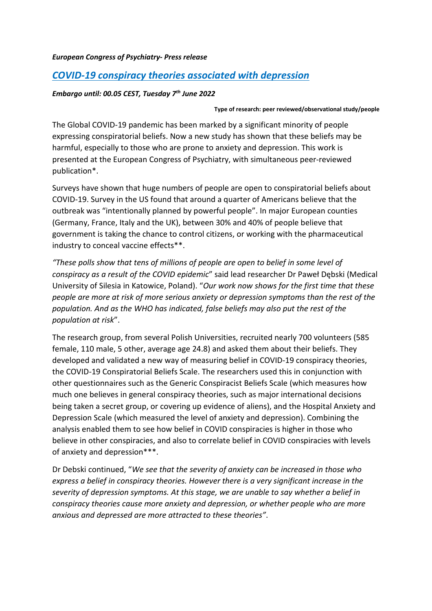## *European Congress of Psychiatry- Press release*

# *COVID-19 conspiracy theories associated with depression*

## *Embargo until: 00.05 CEST, Tuesday 7th June 2022*

### **Type of research: peer reviewed/observational study/people**

The Global COVID-19 pandemic has been marked by a significant minority of people expressing conspiratorial beliefs. Now a new study has shown that these beliefs may be harmful, especially to those who are prone to anxiety and depression. This work is presented at the European Congress of Psychiatry, with simultaneous peer-reviewed publication\*.

Surveys have shown that huge numbers of people are open to conspiratorial beliefs about COVID-19. Survey in the US found that around a quarter of Americans believe that the outbreak was "intentionally planned by powerful people". In major European counties (Germany, France, Italy and the UK), between 30% and 40% of people believe that government is taking the chance to control citizens, or working with the pharmaceutical industry to conceal vaccine effects\*\*.

*"These polls show that tens of millions of people are open to belief in some level of conspiracy as a result of the COVID epidemic*" said lead researcher Dr Paweł Dębski (Medical University of Silesia in Katowice, Poland). "*Our work now shows for the first time that these people are more at risk of more serious anxiety or depression symptoms than the rest of the population. And as the WHO has indicated, false beliefs may also put the rest of the population at risk*".

The research group, from several Polish Universities, recruited nearly 700 volunteers (585 female, 110 male, 5 other, average age 24.8) and asked them about their beliefs. They developed and validated a new way of measuring belief in COVID-19 conspiracy theories, the COVID-19 Conspiratorial Beliefs Scale. The researchers used this in conjunction with other questionnaires such as the Generic Conspiracist Beliefs Scale (which measures how much one believes in general conspiracy theories, such as major international decisions being taken a secret group, or covering up evidence of aliens), and the Hospital Anxiety and Depression Scale (which measured the level of anxiety and depression). Combining the analysis enabled them to see how belief in COVID conspiracies is higher in those who believe in other conspiracies, and also to correlate belief in COVID conspiracies with levels of anxiety and depression\*\*\*.

Dr Debski continued, "*We see that the severity of anxiety can be increased in those who express a belief in conspiracy theories. However there is a very significant increase in the severity of depression symptoms. At this stage, we are unable to say whether a belief in conspiracy theories cause more anxiety and depression, or whether people who are more anxious and depressed are more attracted to these theories"*.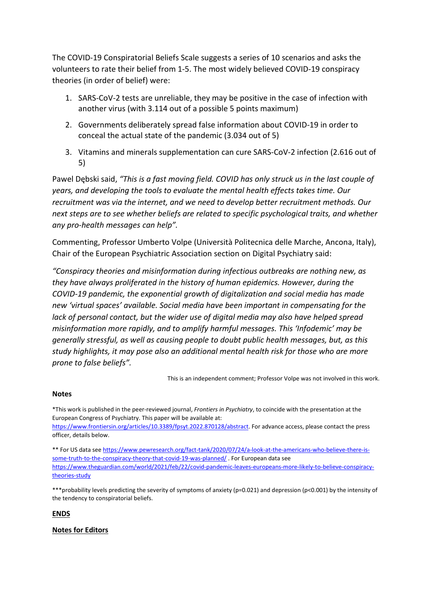The COVID-19 Conspiratorial Beliefs Scale suggests a series of 10 scenarios and asks the volunteers to rate their belief from 1-5. The most widely believed COVID-19 conspiracy theories (in order of belief) were:

- 1. SARS-CoV-2 tests are unreliable, they may be positive in the case of infection with another virus (with 3.114 out of a possible 5 points maximum)
- 2. Governments deliberately spread false information about COVID-19 in order to conceal the actual state of the pandemic (3.034 out of 5)
- 3. Vitamins and minerals supplementation can cure SARS-CoV-2 infection (2.616 out of 5)

Pawel Dębski said, *"This is a fast moving field. COVID has only struck us in the last couple of years, and developing the tools to evaluate the mental health effects takes time. Our recruitment was via the internet, and we need to develop better recruitment methods. Our next steps are to see whether beliefs are related to specific psychological traits, and whether any pro-health messages can help".* 

Commenting, Professor Umberto Volpe (Università Politecnica delle Marche, Ancona, Italy), Chair of the European Psychiatric Association section on Digital Psychiatry said:

*"Conspiracy theories and misinformation during infectious outbreaks are nothing new, as they have always proliferated in the history of human epidemics. However, during the COVID-19 pandemic, the exponential growth of digitalization and social media has made new 'virtual spaces' available. Social media have been important in compensating for the lack of personal contact, but the wider use of digital media may also have helped spread misinformation more rapidly, and to amplify harmful messages. This 'Infodemic' may be generally stressful, as well as causing people to doubt public health messages, but, as this study highlights, it may pose also an additional mental health risk for those who are more prone to false beliefs".*

This is an independent comment; Professor Volpe was not involved in this work.

## **Notes**

\*This work is published in the peer-reviewed journal, *Frontiers in Psychiatry*, to coincide with the presentation at the European Congress of Psychiatry. This paper will be available at: [https://www.frontiersin.org/articles/10.3389/fpsyt.2022.870128/abstract.](https://www.frontiersin.org/articles/10.3389/fpsyt.2022.870128/abstract) For advance access, please contact the press

officer, details below. \*\* For US data see [https://www.pewresearch.org/fact-tank/2020/07/24/a-look-at-the-americans-who-believe-there-is-](https://www.pewresearch.org/fact-tank/2020/07/24/a-look-at-the-americans-who-believe-there-is-some-truth-to-the-conspiracy-theory-that-covid-19-was-planned/)

[some-truth-to-the-conspiracy-theory-that-covid-19-was-planned/](https://www.pewresearch.org/fact-tank/2020/07/24/a-look-at-the-americans-who-believe-there-is-some-truth-to-the-conspiracy-theory-that-covid-19-was-planned/) . For European data see [https://www.theguardian.com/world/2021/feb/22/covid-pandemic-leaves-europeans-more-likely-to-believe-conspiracy](https://www.theguardian.com/world/2021/feb/22/covid-pandemic-leaves-europeans-more-likely-to-believe-conspiracy-theories-study)[theories-study](https://www.theguardian.com/world/2021/feb/22/covid-pandemic-leaves-europeans-more-likely-to-believe-conspiracy-theories-study) 

\*\*\*probability levels predicting the severity of symptoms of anxiety (p=0.021) and depression (p<0.001) by the intensity of the tendency to conspiratorial beliefs.

**ENDS**

**Notes for Editors**